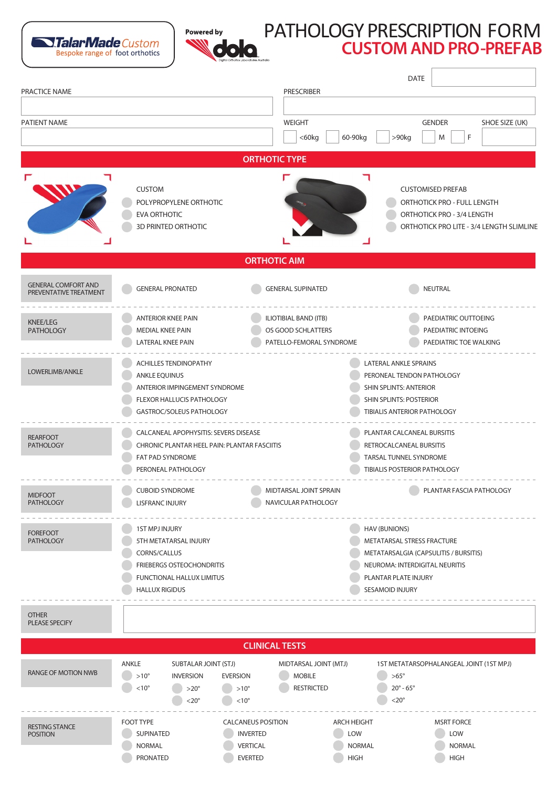



## PATHOLOGY PRESCRIPTION FORM **CUSTOM AND PRO-PREFAB**

| PRACTICE NAME                                        |                                                                                                                                                          | <b>PRESCRIBER</b>                                                                              | DATE                                                                                                                                   |                                                                                                                                        |  |
|------------------------------------------------------|----------------------------------------------------------------------------------------------------------------------------------------------------------|------------------------------------------------------------------------------------------------|----------------------------------------------------------------------------------------------------------------------------------------|----------------------------------------------------------------------------------------------------------------------------------------|--|
| PATIENT NAME                                         |                                                                                                                                                          | <b>WEIGHT</b><br>$<$ 60 $kg$                                                                   | 60-90kg<br>$>90$ kg                                                                                                                    | <b>GENDER</b><br>SHOE SIZE (UK)<br>F<br>M                                                                                              |  |
| <b>ORTHOTIC TYPE</b>                                 |                                                                                                                                                          |                                                                                                |                                                                                                                                        |                                                                                                                                        |  |
|                                                      | <b>CUSTOM</b><br>POLYPROPYLENE ORTHOTIC<br><b>EVA ORTHOTIC</b><br>3D PRINTED ORTHOTIC                                                                    |                                                                                                |                                                                                                                                        | <b>CUSTOMISED PREFAB</b><br>ORTHOTICK PRO - FULL LENGTH<br>ORTHOTICK PRO - 3/4 LENGTH<br>ORTHOTICK PRO LITE - 3/4 LENGTH SLIMLINE      |  |
| <b>ORTHOTIC AIM</b>                                  |                                                                                                                                                          |                                                                                                |                                                                                                                                        |                                                                                                                                        |  |
| <b>GENERAL COMFORT AND</b><br>PREVENTATIVE TREATMENT | <b>GENERAL PRONATED</b>                                                                                                                                  | <b>GENERAL SUPINATED</b>                                                                       |                                                                                                                                        | NEUTRAL                                                                                                                                |  |
| <b>KNEE/LEG</b><br><b>PATHOLOGY</b>                  | <b>ANTERIOR KNEE PAIN</b><br><b>MEDIAL KNEE PAIN</b><br>LATERAL KNEE PAIN                                                                                | <b>ILIOTIBIAL BAND (ITB)</b><br>OS GOOD SCHLATTERS<br>PATELLO-FEMORAL SYNDROME                 |                                                                                                                                        | PAEDIATRIC OUTTOEING<br>PAEDIATRIC INTOEING<br>PAEDIATRIC TOE WALKING                                                                  |  |
| LOWERLIMB/ANKLE                                      | <b>ACHILLES TENDINOPATHY</b><br><b>ANKLE EQUINUS</b><br>ANTERIOR IMPINGEMENT SYNDROME<br>FLEXOR HALLUCIS PATHOLOGY<br>GASTROC/SOLEUS PATHOLOGY           |                                                                                                |                                                                                                                                        | LATERAL ANKLE SPRAINS<br>PERONEAL TENDON PATHOLOGY<br>SHIN SPLINTS: ANTERIOR<br>SHIN SPLINTS: POSTERIOR<br>TIBIALIS ANTERIOR PATHOLOGY |  |
| <b>REARFOOT</b><br><b>PATHOLOGY</b>                  | CALCANEAL APOPHYSITIS: SEVERS DISEASE<br>CHRONIC PLANTAR HEEL PAIN: PLANTAR FASCIITIS<br>FAT PAD SYNDROME<br>PERONEAL PATHOLOGY                          |                                                                                                |                                                                                                                                        | PLANTAR CALCANEAL BURSITIS<br>RETROCALCANEAL BURSITIS<br>TARSAL TUNNEL SYNDROME<br>TIBIALIS POSTERIOR PATHOLOGY                        |  |
| <b>MIDFOOT</b><br><b>PATHOLOGY</b>                   | <b>CUBOID SYNDROME</b><br><b>LISFRANC INJURY</b>                                                                                                         | MIDTARSAL JOINT SPRAIN<br>NAVICULAR PATHOLOGY                                                  |                                                                                                                                        | PLANTAR FASCIA PATHOLOGY                                                                                                               |  |
| <b>FOREFOOT</b><br><b>PATHOLOGY</b>                  | <b>1ST MPJ INJURY</b><br>5TH METATARSAL INJURY<br>CORNS/CALLUS<br><b>FRIEBERGS OSTEOCHONDRITIS</b><br>FUNCTIONAL HALLUX LIMITUS<br><b>HALLUX RIGIDUS</b> |                                                                                                | <b>HAV (BUNIONS)</b><br>METATARSAL STRESS FRACTURE<br>NEUROMA: INTERDIGITAL NEURITIS<br>PLANTAR PLATE INJURY<br><b>SESAMOID INJURY</b> | METATARSALGIA (CAPSULITIS / BURSITIS)                                                                                                  |  |
| <b>OTHER</b><br>PLEASE SPECIFY                       |                                                                                                                                                          |                                                                                                |                                                                                                                                        |                                                                                                                                        |  |
|                                                      |                                                                                                                                                          | <b>CLINICAL TESTS</b>                                                                          |                                                                                                                                        |                                                                                                                                        |  |
| RANGE OF MOTION NWB                                  | ANKLE<br><b>SUBTALAR JOINT (STJ)</b><br>$>10^{\circ}$<br><b>INVERSION</b><br><b>EVERSION</b><br>$< 10^{\circ}$<br>$>20^{\circ}$<br>$<$ 20 $^{\circ}$     | MIDTARSAL JOINT (MTJ)<br><b>MOBILE</b><br><b>RESTRICTED</b><br>$>10^{\circ}$<br>$< 10^{\circ}$ | $>65^\circ$<br>$20^\circ$ - $65^\circ$<br>$<$ 20 $^{\circ}$                                                                            | 1ST METATARSOPHALANGEAL JOINT (1ST MPJ)                                                                                                |  |
| <b>RESTING STANCE</b><br><b>POSITION</b>             | FOOT TYPE<br>SUPINATED<br><b>NORMAL</b><br><b>PRONATED</b>                                                                                               | <b>CALCANEUS POSITION</b><br><b>INVERTED</b><br><b>VERTICAL</b><br><b>EVERTED</b>              | <b>ARCH HEIGHT</b><br><b>LOW</b><br><b>NORMAL</b><br><b>HIGH</b>                                                                       | <b>MSRT FORCE</b><br><b>LOW</b><br><b>NORMAL</b><br><b>HIGH</b>                                                                        |  |